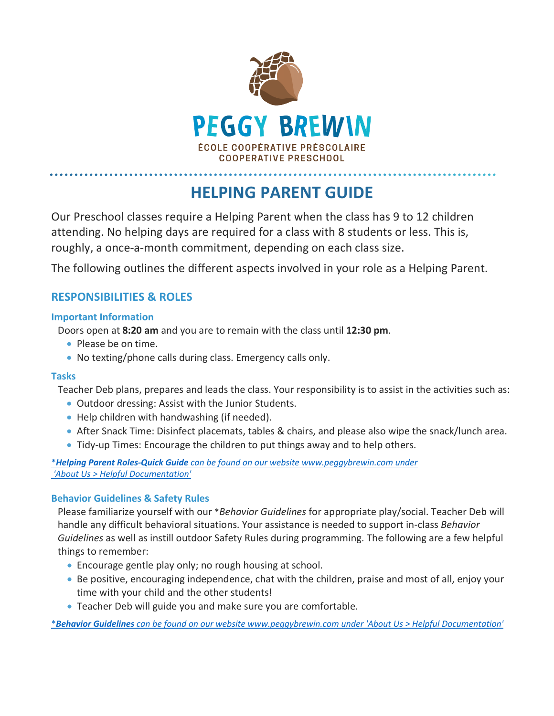

# **HELPING PARENT GUIDE**

Our Preschool classes require a Helping Parent when the class has 9 to 12 children attending. No helping days are required for a class with 8 students or less. This is, roughly, a once-a-month commitment, depending on each class size.

The following outlines the different aspects involved in your role as a Helping Parent.

# **RESPONSIBILITIES & ROLES**

#### **Important Information**

Doors open at **8:20 am** and you are to remain with the class until **12:30 pm**.

- Please be on time.
- No texting/phone calls during class. Emergency calls only.

#### **Tasks**

Teacher Deb plans, prepares and leads the class. Your responsibility is to assist in the activities such as:

- Outdoor dressing: Assist with the Junior Students.
- Help children with handwashing (if needed).
- After Snack Time: Disinfect placemats, tables & chairs, and please also wipe the snack/lunch area.
- Tidy-up Times: Encourage the children to put things away and to help others.

\**Helping Parent Roles-Quick Guide [can be found on our website www.peggybrewin.com](http://www.peggybrewin.com/wp-content/uploads/2022/06/Helping-Parent-Roles-Quick-Guide-2022.pdf) under 'About Us > Helpful Documentation'*

#### **Behavior Guidelines & Safety Rules**

Please familiarize yourself with our \**Behavior Guidelines* for appropriate play/social. Teacher Deb will handle any difficult behavioral situations. Your assistance is needed to support in-class *Behavior Guidelines* as well as instill outdoor Safety Rules during programming. The following are a few helpful things to remember:

- Encourage gentle play only; no rough housing at school.
- Be positive, encouraging independence, chat with the children, praise and most of all, enjoy your time with your child and the other students!
- Teacher Deb will guide you and make sure you are comfortable.

\**Behavior Guidelines [can be found on our website www.peggybrewin.com](http://www.peggybrewin.com/wp-content/uploads/2019/04/Behaviour-Guidelines.pdf) under 'About Us > Helpful Documentation'*